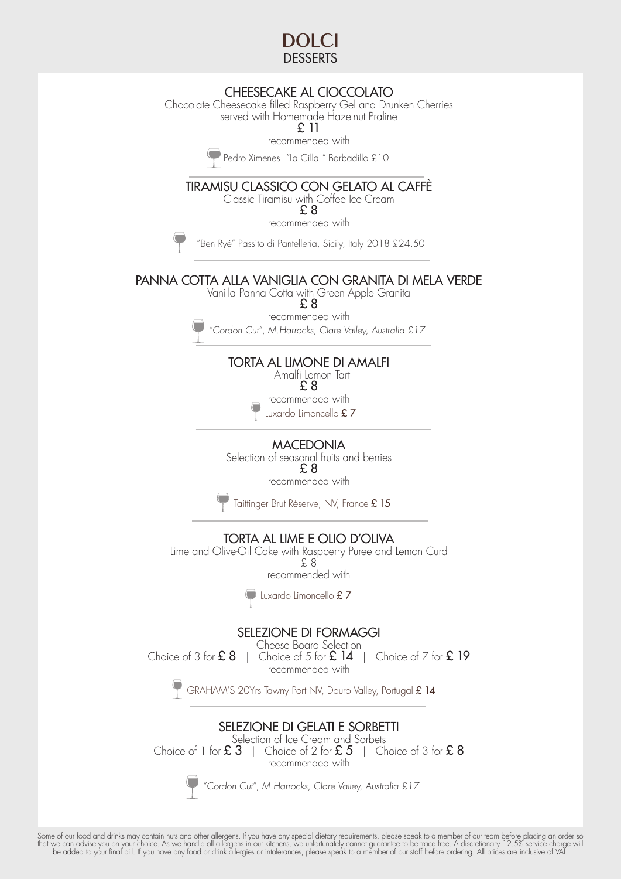

## CHEESECAKE AL CIOCCOLATO

Chocolate Cheesecake filled Raspberry Gel and Drunken Cherries served with Homemade Hazelnut Praline

£ 11

recommended with

Pedro Ximenes "La Cilla " Barbadillo £10

### TIRAMISU CLASSICO CON GELATO AL CAFFÈ

Classic Tiramisu with Coffee Ice Cream

£ 8 recommended with

"Ben Ryé" Passito di Pantelleria, Sicily, Italy 2018 £24.50

#### PANNA COTTA ALLA VANIGLIA CON GRANITA DI MELA VERDE

Vanilla Panna Cotta with Green Apple Granita

 $\overline{P}$  8 recommended with

"Cordon Cut", M.Harrocks, Clare Valley, Australia £17

# TORTA AL LIMONE DI AMALFI

 Amalfi Lemon Tart £ 8

recommended with

Luxardo Limoncello £ 7

**MACEDONIA** 

Selection of seasonal fruits and berries £ 8 recommended with

Taittinger Brut Réserve, NV, France  $\pounds$  15

TORTA AL LIME E OLIO D'OLIVA

Lime and Olive-Oil Cake with Raspberry Puree and Lemon Curd £ 8 recommended with

Luxardo Limoncello £7

SELEZIONE DI FORMAGGI

Cheese Board Selection Choice of 3 for  $\pounds 8$  | Choice of 5 for  $\pounds 14$  | Choice of 7 for  $\pounds 19$ recommended with

GRAHAM'S 20Yrs Tawny Port NV, Douro Valley, Portugal £ 14

# SELEZIONE DI GELATI E SORBETTI

Selection of Ice Cream and Sorbets<br>Choice of 1 for **£ 3**  $\parallel$  Choice of 2 for **£ 5**  $\parallel$  Ch | Choice of 2 for  $\pounds 5$  | Choice of 3 for  $\pounds 8$ recommended with

"Cordon Cut", M.Harrocks, Clare Valley, Australia £17

Some of our tood and drinks may contain nuts and other allergens. It you have any special dietary requirements, please speak to a member of our team betore placing an order so<br>that we can advise you on your choice. As we h